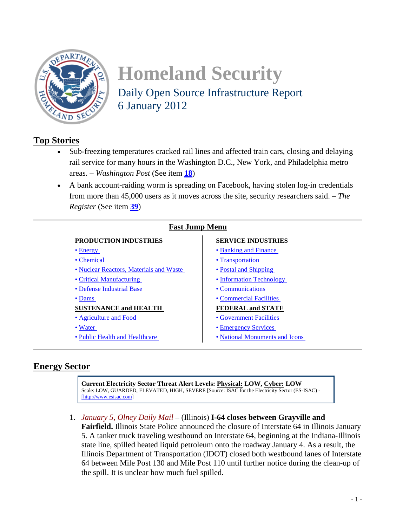<span id="page-0-1"></span>

# **Homeland Security**  Daily Open Source Infrastructure Report 6 January 2012

# **Top Stories**

- Sub-freezing temperatures cracked rail lines and affected train cars, closing and delaying rail service for many hours in the Washington D.C., New York, and Philadelphia metro areas. – *Washington Post* (See item **[18](#page-6-0)**)
- A bank account-raiding worm is spreading on Facebook, having stolen log-in credentials from more than 45,000 users as it moves across the site, security researchers said. – *The Register* (See item **[39](#page-14-0)**)

| <b>Fast Jump Menu</b>                   |                                |
|-----------------------------------------|--------------------------------|
| <b>PRODUCTION INDUSTRIES</b>            | <b>SERVICE INDUSTRIES</b>      |
| $\bullet$ Energy                        | • Banking and Finance          |
| • Chemical                              | • Transportation               |
| • Nuclear Reactors, Materials and Waste | • Postal and Shipping          |
| • Critical Manufacturing                | • Information Technology       |
| • Defense Industrial Base               | • Communications               |
| $\bullet$ Dams                          | • Commercial Facilities        |
| <b>SUSTENANCE and HEALTH</b>            | <b>FEDERAL and STATE</b>       |
| • Agriculture and Food                  | • Government Facilities        |
| • Water                                 | • Emergency Services           |
| • Public Health and Healthcare          | • National Monuments and Icons |

## <span id="page-0-0"></span>**Energy Sector**

**Current Electricity Sector Threat Alert Levels: Physical: LOW, Cyber: LOW** Scale: LOW, GUARDED, ELEVATED, HIGH, SEVERE [Source: ISAC for the Electricity Sector (ES-ISAC) - [\[http://www.esisac.com\]](http://www.esisac.com/)

<span id="page-0-2"></span>1. *January 5, Olney Daily Mail* – (Illinois) **I-64 closes between Grayville and Fairfield.** Illinois State Police announced the closure of Interstate 64 in Illinois January 5. A tanker truck traveling westbound on Interstate 64, beginning at the Indiana-Illinois state line, spilled heated liquid petroleum onto the roadway January 4. As a result, the Illinois Department of Transportation (IDOT) closed both westbound lanes of Interstate 64 between Mile Post 130 and Mile Post 110 until further notice during the clean-up of the spill. It is unclear how much fuel spilled.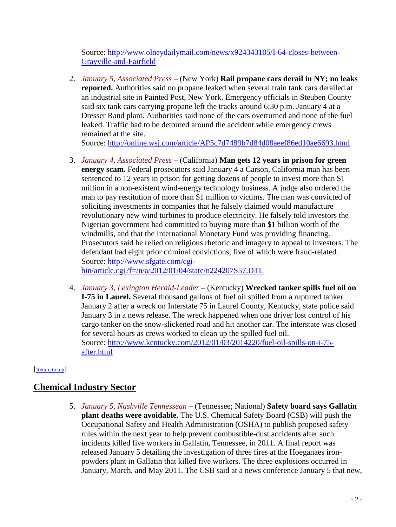Source: [http://www.olneydailymail.com/news/x924343105/I-64-closes-between-](http://www.olneydailymail.com/news/x924343105/I-64-closes-between-Grayville-and-Fairfield)[Grayville-and-Fairfield](http://www.olneydailymail.com/news/x924343105/I-64-closes-between-Grayville-and-Fairfield)

<span id="page-1-2"></span>2. *January 5, Associated Press* – (New York) **Rail propane cars derail in NY; no leaks reported.** Authorities said no propane leaked when several train tank cars derailed at an industrial site in Painted Post, New York. Emergency officials in Steuben County said six tank cars carrying propane left the tracks around 6:30 p.m. January 4 at a Dresser Rand plant. Authorities said none of the cars overturned and none of the fuel leaked. Traffic had to be detoured around the accident while emergency crews remained at the site.

Source:<http://online.wsj.com/article/AP5c7d7489b7d84d08aeef86ed10ae6693.html>

- 3. *January 4, Associated Press* (California) **Man gets 12 years in prison for green energy scam.** Federal prosecutors said January 4 a Carson, California man has been sentenced to 12 years in prison for getting dozens of people to invest more than \$1 million in a non-existent wind-energy technology business. A judge also ordered the man to pay restitution of more than \$1 million to victims. The man was convicted of soliciting investments in companies that he falsely claimed would manufacture revolutionary new wind turbines to produce electricity. He falsely told investors the Nigerian government had committed to buying more than \$1 billion worth of the windmills, and that the International Monetary Fund was providing financing. Prosecutors said he relied on religious rhetoric and imagery to appeal to investors. The defendant had eight prior criminal convictions, five of which were fraud-related. Source: [http://www.sfgate.com/cgi](http://www.sfgate.com/cgi-bin/article.cgi?f=/n/a/2012/01/04/state/n224207S57.DTL)[bin/article.cgi?f=/n/a/2012/01/04/state/n224207S57.DTL](http://www.sfgate.com/cgi-bin/article.cgi?f=/n/a/2012/01/04/state/n224207S57.DTL)
- <span id="page-1-3"></span>4. *January 3, Lexington Herald-Leader* – (Kentucky) **Wrecked tanker spills fuel oil on I-75 in Laurel.** Several thousand gallons of fuel oil spilled from a ruptured tanker January 2 after a wreck on Interstate 75 in Laurel County, Kentucky, state police said January 3 in a news release. The wreck happened when one driver lost control of his cargo tanker on the snow-slickened road and hit another car. The interstate was closed for several hours as crews worked to clean up the spilled fuel oil. Source: [http://www.kentucky.com/2012/01/03/2014220/fuel-oil-spills-on-i-75](http://www.kentucky.com/2012/01/03/2014220/fuel-oil-spills-on-i-75-after.html) [after.html](http://www.kentucky.com/2012/01/03/2014220/fuel-oil-spills-on-i-75-after.html)

## <span id="page-1-0"></span>[\[Return to top\]](#page-0-1)

# <span id="page-1-1"></span>**Chemical Industry Sector**

5. *January 5, Nashville Tennessean* – (Tennessee; National) **Safety board says Gallatin plant deaths were avoidable.** The U.S. Chemical Safety Board (CSB) will push the Occupational Safety and Health Administration (OSHA) to publish proposed safety rules within the next year to help prevent combustible-dust accidents after such incidents killed five workers in Gallatin, Tennessee, in 2011. A final report was released January 5 detailing the investigation of three fires at the Hoeganaes ironpowders plant in Gallatin that killed five workers. The three explosions occurred in January, March, and May 2011. The CSB said at a news conference January 5 that new,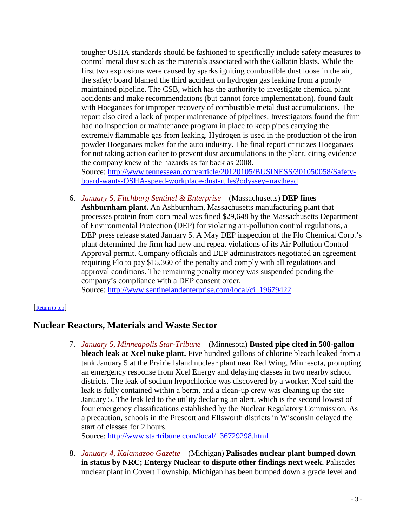tougher OSHA standards should be fashioned to specifically include safety measures to control metal dust such as the materials associated with the Gallatin blasts. While the first two explosions were caused by sparks igniting combustible dust loose in the air, the safety board blamed the third accident on hydrogen gas leaking from a poorly maintained pipeline. The CSB, which has the authority to investigate chemical plant accidents and make recommendations (but cannot force implementation), found fault with Hoeganaes for improper recovery of combustible metal dust accumulations. The report also cited a lack of proper maintenance of pipelines. Investigators found the firm had no inspection or maintenance program in place to keep pipes carrying the extremely flammable gas from leaking. Hydrogen is used in the production of the iron powder Hoeganaes makes for the auto industry. The final report criticizes Hoeganaes for not taking action earlier to prevent dust accumulations in the plant, citing evidence the company knew of the hazards as far back as 2008. Source: [http://www.tennessean.com/article/20120105/BUSINESS/301050058/Safety-](http://www.tennessean.com/article/20120105/BUSINESS/301050058/Safety-board-wants-OSHA-speed-workplace-dust-rules?odyssey=nav|head)

[board-wants-OSHA-speed-workplace-dust-rules?odyssey=nav|head](http://www.tennessean.com/article/20120105/BUSINESS/301050058/Safety-board-wants-OSHA-speed-workplace-dust-rules?odyssey=nav|head)

<span id="page-2-1"></span>6. *January 5, Fitchburg Sentinel & Enterprise* – (Massachusetts) **DEP fines Ashburnham plant.** An Ashburnham, Massachusetts manufacturing plant that processes protein from corn meal was fined \$29,648 by the Massachusetts Department of Environmental Protection (DEP) for violating air-pollution control regulations, a DEP press release stated January 5. A May DEP inspection of the Flo Chemical Corp.'s plant determined the firm had new and repeat violations of its Air Pollution Control Approval permit. Company officials and DEP administrators negotiated an agreement requiring Flo to pay \$15,360 of the penalty and comply with all regulations and approval conditions. The remaining penalty money was suspended pending the company's compliance with a DEP consent order.

<span id="page-2-0"></span>Source: [http://www.sentinelandenterprise.com/local/ci\\_19679422](http://www.sentinelandenterprise.com/local/ci_19679422)

### [\[Return to top\]](#page-0-1)

## **Nuclear Reactors, Materials and Waste Sector**

7. *January 5, Minneapolis Star-Tribune* – (Minnesota) **Busted pipe cited in 500-gallon bleach leak at Xcel nuke plant.** Five hundred gallons of chlorine bleach leaked from a tank January 5 at the Prairie Island nuclear plant near Red Wing, Minnesota, prompting an emergency response from Xcel Energy and delaying classes in two nearby school districts. The leak of sodium hypochloride was discovered by a worker. Xcel said the leak is fully contained within a berm, and a clean-up crew was cleaning up the site January 5. The leak led to the utility declaring an alert, which is the second lowest of four emergency classifications established by the Nuclear Regulatory Commission. As a precaution, schools in the Prescott and Ellsworth districts in Wisconsin delayed the start of classes for 2 hours.

Source:<http://www.startribune.com/local/136729298.html>

8. *January 4, Kalamazoo Gazette* – (Michigan) **Palisades nuclear plant bumped down in status by NRC; Entergy Nuclear to dispute other findings next week.** Palisades nuclear plant in Covert Township, Michigan has been bumped down a grade level and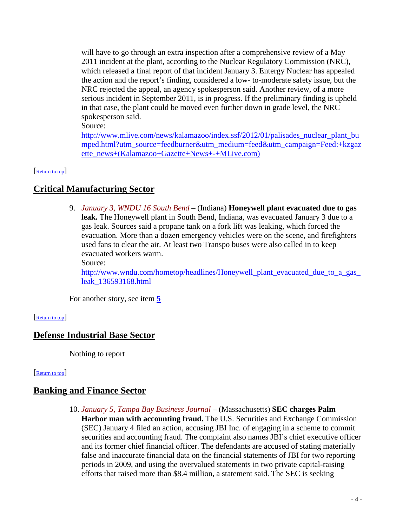will have to go through an extra inspection after a comprehensive review of a May 2011 incident at the plant, according to the Nuclear Regulatory Commission (NRC), which released a final report of that incident January 3. Entergy Nuclear has appealed the action and the report's finding, considered a low- to-moderate safety issue, but the NRC rejected the appeal, an agency spokesperson said. Another review, of a more serious incident in September 2011, is in progress. If the preliminary finding is upheld in that case, the plant could be moved even further down in grade level, the NRC spokesperson said.

Source:

[http://www.mlive.com/news/kalamazoo/index.ssf/2012/01/palisades\\_nuclear\\_plant\\_bu](http://www.mlive.com/news/kalamazoo/index.ssf/2012/01/palisades_nuclear_plant_bumped.html?utm_source=feedburner&utm_medium=feed&utm_campaign=Feed:+kzgazette_news+(Kalamazoo+Gazette+News+-+MLive.com)) [mped.html?utm\\_source=feedburner&utm\\_medium=feed&utm\\_campaign=Feed:+kzgaz](http://www.mlive.com/news/kalamazoo/index.ssf/2012/01/palisades_nuclear_plant_bumped.html?utm_source=feedburner&utm_medium=feed&utm_campaign=Feed:+kzgazette_news+(Kalamazoo+Gazette+News+-+MLive.com)) [ette\\_news+\(Kalamazoo+Gazette+News+-+MLive.com\)](http://www.mlive.com/news/kalamazoo/index.ssf/2012/01/palisades_nuclear_plant_bumped.html?utm_source=feedburner&utm_medium=feed&utm_campaign=Feed:+kzgazette_news+(Kalamazoo+Gazette+News+-+MLive.com))

#### <span id="page-3-1"></span>[\[Return to top\]](#page-0-1)

## **Critical Manufacturing Sector**

9. *January 3, WNDU 16 South Bend* – (Indiana) **Honeywell plant evacuated due to gas leak.** The Honeywell plant in South Bend, Indiana, was evacuated January 3 due to a gas leak. Sources said a propane tank on a fork lift was leaking, which forced the evacuation. More than a dozen emergency vehicles were on the scene, and firefighters used fans to clear the air. At least two Transpo buses were also called in to keep evacuated workers warm.

Source:

[http://www.wndu.com/hometop/headlines/Honeywell\\_plant\\_evacuated\\_due\\_to\\_a\\_gas\\_](http://www.wndu.com/hometop/headlines/Honeywell_plant_evacuated_due_to_a_gas_leak_136593168.html) [leak\\_136593168.html](http://www.wndu.com/hometop/headlines/Honeywell_plant_evacuated_due_to_a_gas_leak_136593168.html)

<span id="page-3-2"></span>For another story, see item **[5](#page-1-1)**

#### [\[Return to top\]](#page-0-1)

## **Defense Industrial Base Sector**

<span id="page-3-0"></span>Nothing to report

#### [\[Return to top\]](#page-0-1)

## **Banking and Finance Sector**

10. *January 5, Tampa Bay Business Journal* – (Massachusetts) **SEC charges Palm Harbor man with accounting fraud.** The U.S. Securities and Exchange Commission (SEC) January 4 filed an action, accusing JBI Inc. of engaging in a scheme to commit securities and accounting fraud. The complaint also names JBI's chief executive officer and its former chief financial officer. The defendants are accused of stating materially false and inaccurate financial data on the financial statements of JBI for two reporting periods in 2009, and using the overvalued statements in two private capital-raising efforts that raised more than \$8.4 million, a statement said. The SEC is seeking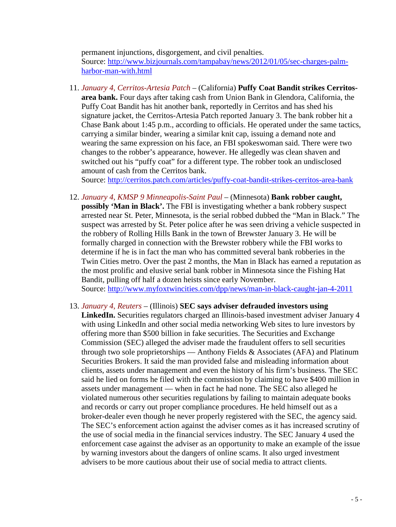permanent injunctions, disgorgement, and civil penalties. Source: [http://www.bizjournals.com/tampabay/news/2012/01/05/sec-charges-palm](http://www.bizjournals.com/tampabay/news/2012/01/05/sec-charges-palm-harbor-man-with.html)[harbor-man-with.html](http://www.bizjournals.com/tampabay/news/2012/01/05/sec-charges-palm-harbor-man-with.html)

11. *January 4, Cerritos-Artesia Patch* – (California) **Puffy Coat Bandit strikes Cerritosarea bank.** Four days after taking cash from Union Bank in Glendora, California, the Puffy Coat Bandit has hit another bank, reportedly in Cerritos and has shed his signature jacket, the Cerritos-Artesia Patch reported January 3. The bank robber hit a Chase Bank about 1:45 p.m., according to officials. He operated under the same tactics, carrying a similar binder, wearing a similar knit cap, issuing a demand note and wearing the same expression on his face, an FBI spokeswoman said. There were two changes to the robber's appearance, however. He allegedly was clean shaven and switched out his "puffy coat" for a different type. The robber took an undisclosed amount of cash from the Cerritos bank.

Source:<http://cerritos.patch.com/articles/puffy-coat-bandit-strikes-cerritos-area-bank>

- 12. *January 4, KMSP 9 Minneapolis-Saint Paul* (Minnesota) **Bank robber caught, possibly 'Man in Black'.** The FBI is investigating whether a bank robbery suspect arrested near St. Peter, Minnesota, is the serial robbed dubbed the "Man in Black." The suspect was arrested by St. Peter police after he was seen driving a vehicle suspected in the robbery of Rolling Hills Bank in the town of Brewster January 3. He will be formally charged in connection with the Brewster robbery while the FBI works to determine if he is in fact the man who has committed several bank robberies in the Twin Cities metro. Over the past 2 months, the Man in Black has earned a reputation as the most prolific and elusive serial bank robber in Minnesota since the Fishing Hat Bandit, pulling off half a dozen heists since early November. Source:<http://www.myfoxtwincities.com/dpp/news/man-in-black-caught-jan-4-2011>
- 13. *January 4, Reuters* (Illinois) **SEC says adviser defrauded investors using LinkedIn.** Securities regulators charged an Illinois-based investment adviser January 4 with using LinkedIn and other social media networking Web sites to lure investors by offering more than \$500 billion in fake securities. The Securities and Exchange Commission (SEC) alleged the adviser made the fraudulent offers to sell securities through two sole proprietorships — Anthony Fields & Associates (AFA) and Platinum Securities Brokers. It said the man provided false and misleading information about clients, assets under management and even the history of his firm's business. The SEC said he lied on forms he filed with the commission by claiming to have \$400 million in assets under management — when in fact he had none. The SEC also alleged he violated numerous other securities regulations by failing to maintain adequate books and records or carry out proper compliance procedures. He held himself out as a broker-dealer even though he never properly registered with the SEC, the agency said. The SEC's enforcement action against the adviser comes as it has increased scrutiny of the use of social media in the financial services industry. The SEC January 4 used the enforcement case against the adviser as an opportunity to make an example of the issue by warning investors about the dangers of online scams. It also urged investment advisers to be more cautious about their use of social media to attract clients.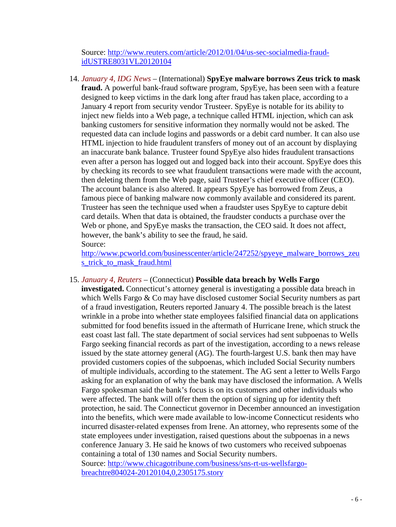Source: [http://www.reuters.com/article/2012/01/04/us-sec-socialmedia-fraud](http://www.reuters.com/article/2012/01/04/us-sec-socialmedia-fraud-idUSTRE8031VL20120104)[idUSTRE8031VL20120104](http://www.reuters.com/article/2012/01/04/us-sec-socialmedia-fraud-idUSTRE8031VL20120104)

<span id="page-5-0"></span>14. *January 4, IDG News* – (International) **SpyEye malware borrows Zeus trick to mask fraud.** A powerful bank-fraud software program, SpyEye, has been seen with a feature designed to keep victims in the dark long after fraud has taken place, according to a January 4 report from security vendor Trusteer. SpyEye is notable for its ability to inject new fields into a Web page, a technique called HTML injection, which can ask banking customers for sensitive information they normally would not be asked. The requested data can include logins and passwords or a debit card number. It can also use HTML injection to hide fraudulent transfers of money out of an account by displaying an inaccurate bank balance. Trusteer found SpyEye also hides fraudulent transactions even after a person has logged out and logged back into their account. SpyEye does this by checking its records to see what fraudulent transactions were made with the account, then deleting them from the Web page, said Trusteer's chief executive officer (CEO). The account balance is also altered. It appears SpyEye has borrowed from Zeus, a famous piece of banking malware now commonly available and considered its parent. Trusteer has seen the technique used when a fraudster uses SpyEye to capture debit card details. When that data is obtained, the fraudster conducts a purchase over the Web or phone, and SpyEye masks the transaction, the CEO said. It does not affect, however, the bank's ability to see the fraud, he said. Source:

[http://www.pcworld.com/businesscenter/article/247252/spyeye\\_malware\\_borrows\\_zeu](http://www.pcworld.com/businesscenter/article/247252/spyeye_malware_borrows_zeus_trick_to_mask_fraud.html) [s\\_trick\\_to\\_mask\\_fraud.html](http://www.pcworld.com/businesscenter/article/247252/spyeye_malware_borrows_zeus_trick_to_mask_fraud.html)

#### 15. *January 4, Reuters* – (Connecticut) **Possible data breach by Wells Fargo**

**investigated.** Connecticut's attorney general is investigating a possible data breach in which Wells Fargo & Co may have disclosed customer Social Security numbers as part of a fraud investigation, Reuters reported January 4. The possible breach is the latest wrinkle in a probe into whether state employees falsified financial data on applications submitted for food benefits issued in the aftermath of Hurricane Irene, which struck the east coast last fall. The state department of social services had sent subpoenas to Wells Fargo seeking financial records as part of the investigation, according to a news release issued by the state attorney general (AG). The fourth-largest U.S. bank then may have provided customers copies of the subpoenas, which included Social Security numbers of multiple individuals, according to the statement. The AG sent a letter to Wells Fargo asking for an explanation of why the bank may have disclosed the information. A Wells Fargo spokesman said the bank's focus is on its customers and other individuals who were affected. The bank will offer them the option of signing up for identity theft protection, he said. The Connecticut governor in December announced an investigation into the benefits, which were made available to low-income Connecticut residents who incurred disaster-related expenses from Irene. An attorney, who represents some of the state employees under investigation, raised questions about the subpoenas in a news conference January 3. He said he knows of two customers who received subpoenas containing a total of 130 names and Social Security numbers. Source: [http://www.chicagotribune.com/business/sns-rt-us-wellsfargo-](http://www.chicagotribune.com/business/sns-rt-us-wellsfargo-breachtre804024-20120104,0,2305175.story)

[breachtre804024-20120104,0,2305175.story](http://www.chicagotribune.com/business/sns-rt-us-wellsfargo-breachtre804024-20120104,0,2305175.story)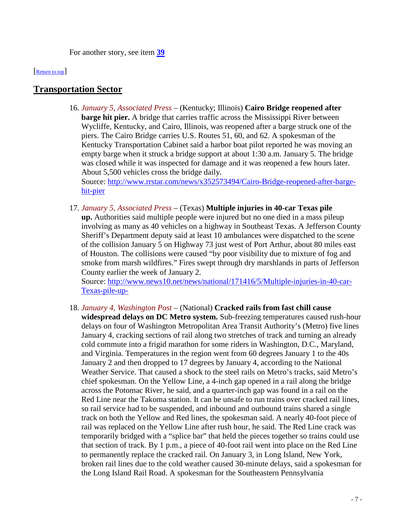<span id="page-6-1"></span>For another story, see item **[39](#page-14-0)**

[\[Return to top\]](#page-0-1) 

## **Transportation Sector**

16. *January 5, Associated Press* – (Kentucky; Illinois) **Cairo Bridge reopened after barge hit pier.** A bridge that carries traffic across the Mississippi River between Wycliffe, Kentucky, and Cairo, Illinois, was reopened after a barge struck one of the piers. The Cairo Bridge carries U.S. Routes 51, 60, and 62. A spokesman of the Kentucky Transportation Cabinet said a harbor boat pilot reported he was moving an empty barge when it struck a bridge support at about 1:30 a.m. January 5. The bridge was closed while it was inspected for damage and it was reopened a few hours later. About 5,500 vehicles cross the bridge daily. Source: [http://www.rrstar.com/news/x352573494/Cairo-Bridge-reopened-after-barge-](http://www.rrstar.com/news/x352573494/Cairo-Bridge-reopened-after-barge-hit-pier)

[hit-pier](http://www.rrstar.com/news/x352573494/Cairo-Bridge-reopened-after-barge-hit-pier)

17. *January 5, Associated Press* – (Texas) **Multiple injuries in 40-car Texas pile up.** Authorities said multiple people were injured but no one died in a mass pileup involving as many as 40 vehicles on a highway in Southeast Texas. A Jefferson County Sheriff's Department deputy said at least 10 ambulances were dispatched to the scene of the collision January 5 on Highway 73 just west of Port Arthur, about 80 miles east of Houston. The collisions were caused "by poor visibility due to mixture of fog and smoke from marsh wildfires." Fires swept through dry marshlands in parts of Jefferson County earlier the week of January 2.

Source: [http://www.news10.net/news/national/171416/5/Multiple-injuries-in-40-car-](http://www.news10.net/news/national/171416/5/Multiple-injuries-in-40-car-Texas-pile-up-)[Texas-pile-up-](http://www.news10.net/news/national/171416/5/Multiple-injuries-in-40-car-Texas-pile-up-)

<span id="page-6-0"></span>18. *January 4, Washington Post* – (National) **Cracked rails from fast chill cause widespread delays on DC Metro system.** Sub-freezing temperatures caused rush-hour delays on four of Washington Metropolitan Area Transit Authority's (Metro) five lines January 4, cracking sections of rail along two stretches of track and turning an already cold commute into a frigid marathon for some riders in Washington, D.C., Maryland, and Virginia. Temperatures in the region went from 60 degrees January 1 to the 40s January 2 and then dropped to 17 degrees by January 4, according to the National Weather Service. That caused a shock to the steel rails on Metro's tracks, said Metro's chief spokesman. On the Yellow Line, a 4-inch gap opened in a rail along the bridge across the Potomac River, he said, and a quarter-inch gap was found in a rail on the Red Line near the Takoma station. It can be unsafe to run trains over cracked rail lines, so rail service had to be suspended, and inbound and outbound trains shared a single track on both the Yellow and Red lines, the spokesman said. A nearly 40-foot piece of rail was replaced on the Yellow Line after rush hour, he said. The Red Line crack was temporarily bridged with a "splice bar" that held the pieces together so trains could use that section of track. By 1 p.m., a piece of 40-foot rail went into place on the Red Line to permanently replace the cracked rail. On January 3, in Long Island, New York, broken rail lines due to the cold weather caused 30-minute delays, said a spokesman for the Long Island Rail Road. A spokesman for the Southeastern Pennsylvania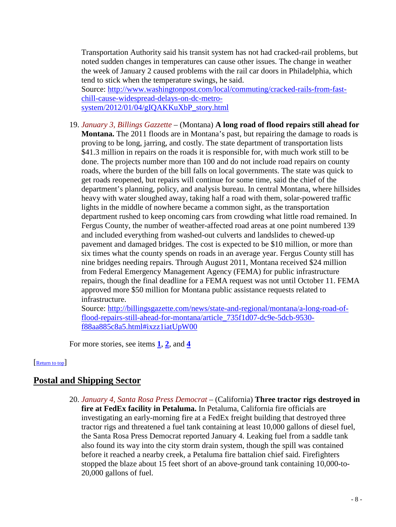Transportation Authority said his transit system has not had cracked-rail problems, but noted sudden changes in temperatures can cause other issues. The change in weather the week of January 2 caused problems with the rail car doors in Philadelphia, which tend to stick when the temperature swings, he said. Source: [http://www.washingtonpost.com/local/commuting/cracked-rails-from-fast-](http://www.washingtonpost.com/local/commuting/cracked-rails-from-fast-chill-cause-widespread-delays-on-dc-metro-system/2012/01/04/gIQAKKuXbP_story.html)

[chill-cause-widespread-delays-on-dc-metro](http://www.washingtonpost.com/local/commuting/cracked-rails-from-fast-chill-cause-widespread-delays-on-dc-metro-system/2012/01/04/gIQAKKuXbP_story.html)[system/2012/01/04/gIQAKKuXbP\\_story.html](http://www.washingtonpost.com/local/commuting/cracked-rails-from-fast-chill-cause-widespread-delays-on-dc-metro-system/2012/01/04/gIQAKKuXbP_story.html)

19. *January 3, Billings Gazzette* – (Montana) **A long road of flood repairs still ahead for Montana.** The 2011 floods are in Montana's past, but repairing the damage to roads is proving to be long, jarring, and costly. The state department of transportation lists \$41.3 million in repairs on the roads it is responsible for, with much work still to be done. The projects number more than 100 and do not include road repairs on county roads, where the burden of the bill falls on local governments. The state was quick to get roads reopened, but repairs will continue for some time, said the chief of the department's planning, policy, and analysis bureau. In central Montana, where hillsides heavy with water sloughed away, taking half a road with them, solar-powered traffic lights in the middle of nowhere became a common sight, as the transportation department rushed to keep oncoming cars from crowding what little road remained. In Fergus County, the number of weather-affected road areas at one point numbered 139 and included everything from washed-out culverts and landslides to chewed-up pavement and damaged bridges. The cost is expected to be \$10 million, or more than six times what the county spends on roads in an average year. Fergus County still has nine bridges needing repairs. Through August 2011, Montana received \$24 million from Federal Emergency Management Agency (FEMA) for public infrastructure repairs, though the final deadline for a FEMA request was not until October 11. FEMA approved more \$50 million for Montana public assistance requests related to infrastructure.

Source: [http://billingsgazette.com/news/state-and-regional/montana/a-long-road-of](http://billingsgazette.com/news/state-and-regional/montana/a-long-road-of-flood-repairs-still-ahead-for-montana/article_735f1d07-dc9e-5dcb-9530-f88aa885c8a5.html#ixzz1iatUpW00)[flood-repairs-still-ahead-for-montana/article\\_735f1d07-dc9e-5dcb-9530](http://billingsgazette.com/news/state-and-regional/montana/a-long-road-of-flood-repairs-still-ahead-for-montana/article_735f1d07-dc9e-5dcb-9530-f88aa885c8a5.html#ixzz1iatUpW00) [f88aa885c8a5.html#ixzz1iatUpW00](http://billingsgazette.com/news/state-and-regional/montana/a-long-road-of-flood-repairs-still-ahead-for-montana/article_735f1d07-dc9e-5dcb-9530-f88aa885c8a5.html#ixzz1iatUpW00)

<span id="page-7-0"></span>For more stories, see items **[1](#page-0-2)**, **[2](#page-1-2)**, and **[4](#page-1-3)**

#### [\[Return to top\]](#page-0-1)

## **Postal and Shipping Sector**

20. *January 4, Santa Rosa Press Democrat* – (California) **Three tractor rigs destroyed in fire at FedEx facility in Petaluma.** In Petaluma, California fire officials are investigating an early-morning fire at a FedEx freight building that destroyed three tractor rigs and threatened a fuel tank containing at least 10,000 gallons of diesel fuel, the Santa Rosa Press Democrat reported January 4. Leaking fuel from a saddle tank also found its way into the city storm drain system, though the spill was contained before it reached a nearby creek, a Petaluma fire battalion chief said. Firefighters stopped the blaze about 15 feet short of an above-ground tank containing 10,000-to-20,000 gallons of fuel.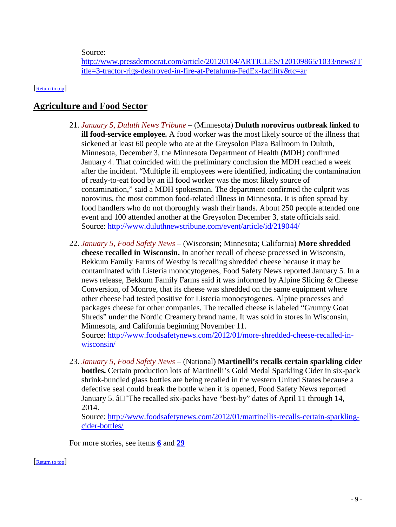Source:

<span id="page-8-0"></span>[http://www.pressdemocrat.com/article/20120104/ARTICLES/120109865/1033/news?T](http://www.pressdemocrat.com/article/20120104/ARTICLES/120109865/1033/news?Title=3-tractor-rigs-destroyed-in-fire-at-Petaluma-FedEx-facility&tc=ar) [itle=3-tractor-rigs-destroyed-in-fire-at-Petaluma-FedEx-facility&tc=ar](http://www.pressdemocrat.com/article/20120104/ARTICLES/120109865/1033/news?Title=3-tractor-rigs-destroyed-in-fire-at-Petaluma-FedEx-facility&tc=ar)

#### [\[Return to top\]](#page-0-1)

## **Agriculture and Food Sector**

- 21. *January 5, Duluth News Tribune* (Minnesota) **Duluth norovirus outbreak linked to ill food-service employee.** A food worker was the most likely source of the illness that sickened at least 60 people who ate at the Greysolon Plaza Ballroom in Duluth, Minnesota, December 3, the Minnesota Department of Health (MDH) confirmed January 4. That coincided with the preliminary conclusion the MDH reached a week after the incident. "Multiple ill employees were identified, indicating the contamination of ready-to-eat food by an ill food worker was the most likely source of contamination," said a MDH spokesman. The department confirmed the culprit was norovirus, the most common food-related illness in Minnesota. It is often spread by food handlers who do not thoroughly wash their hands. About 250 people attended one event and 100 attended another at the Greysolon December 3, state officials said. Source:<http://www.duluthnewstribune.com/event/article/id/219044/>
- 22. *January 5, Food Safety News* (Wisconsin; Minnesota; California) **More shredded cheese recalled in Wisconsin.** In another recall of cheese processed in Wisconsin, Bekkum Family Farms of Westby is recalling shredded cheese because it may be contaminated with Listeria monocytogenes, Food Safety News reported January 5. In a news release, Bekkum Family Farms said it was informed by Alpine Slicing & Cheese Conversion, of Monroe, that its cheese was shredded on the same equipment where other cheese had tested positive for Listeria monocytogenes. Alpine processes and packages cheese for other companies. The recalled cheese is labeled "Grumpy Goat Shreds" under the Nordic Creamery brand name. It was sold in stores in Wisconsin, Minnesota, and California beginning November 11.

Source: [http://www.foodsafetynews.com/2012/01/more-shredded-cheese-recalled-in](http://www.foodsafetynews.com/2012/01/more-shredded-cheese-recalled-in-wisconsin/)[wisconsin/](http://www.foodsafetynews.com/2012/01/more-shredded-cheese-recalled-in-wisconsin/)

23. *January 5, Food Safety News* – (National) **Martinelli's recalls certain sparkling cider bottles.** Certain production lots of Martinelli's Gold Medal Sparkling Cider in six-pack shrink-bundled glass bottles are being recalled in the western United States because a defective seal could break the bottle when it is opened, Food Safety News reported January 5.  $\hat{a}$ <sup>-</sup>The recalled six-packs have "best-by" dates of April 11 through 14, 2014.

Source: [http://www.foodsafetynews.com/2012/01/martinellis-recalls-certain-sparkling](http://www.foodsafetynews.com/2012/01/martinellis-recalls-certain-sparkling-cider-bottles/)[cider-bottles/](http://www.foodsafetynews.com/2012/01/martinellis-recalls-certain-sparkling-cider-bottles/)

<span id="page-8-1"></span>For more stories, see items **[6](#page-2-1)** and **[29](#page-10-1)**

Return to top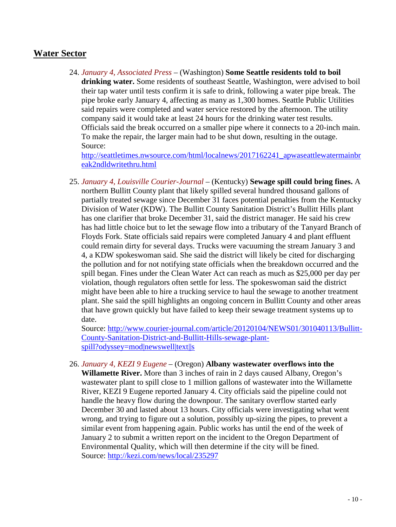## **Water Sector**

24. *January 4, Associated Press* – (Washington) **Some Seattle residents told to boil drinking water.** Some residents of southeast Seattle, Washington, were advised to boil their tap water until tests confirm it is safe to drink, following a water pipe break. The pipe broke early January 4, affecting as many as 1,300 homes. Seattle Public Utilities said repairs were completed and water service restored by the afternoon. The utility company said it would take at least 24 hours for the drinking water test results. Officials said the break occurred on a smaller pipe where it connects to a 20-inch main. To make the repair, the larger main had to be shut down, resulting in the outage. Source:

[http://seattletimes.nwsource.com/html/localnews/2017162241\\_apwaseattlewatermainbr](http://seattletimes.nwsource.com/html/localnews/2017162241_apwaseattlewatermainbreak2ndldwritethru.html) [eak2ndldwritethru.html](http://seattletimes.nwsource.com/html/localnews/2017162241_apwaseattlewatermainbreak2ndldwritethru.html)

25. *January 4, Louisville Courier-Journal* – (Kentucky) **Sewage spill could bring fines.** A northern Bullitt County plant that likely spilled several hundred thousand gallons of partially treated sewage since December 31 faces potential penalties from the Kentucky Division of Water (KDW). The Bullitt County Sanitation District's Bullitt Hills plant has one clarifier that broke December 31, said the district manager. He said his crew has had little choice but to let the sewage flow into a tributary of the Tanyard Branch of Floyds Fork. State officials said repairs were completed January 4 and plant effluent could remain dirty for several days. Trucks were vacuuming the stream January 3 and 4, a KDW spokeswoman said. She said the district will likely be cited for discharging the pollution and for not notifying state officials when the breakdown occurred and the spill began. Fines under the Clean Water Act can reach as much as \$25,000 per day per violation, though regulators often settle for less. The spokeswoman said the district might have been able to hire a trucking service to haul the sewage to another treatment plant. She said the spill highlights an ongoing concern in Bullitt County and other areas that have grown quickly but have failed to keep their sewage treatment systems up to date.

Source: [http://www.courier-journal.com/article/20120104/NEWS01/301040113/Bullitt-](http://www.courier-journal.com/article/20120104/NEWS01/301040113/Bullitt-County-Sanitation-District-and-Bullitt-Hills-sewage-plant-spill?odyssey=mod|newswell|text||s)[County-Sanitation-District-and-Bullitt-Hills-sewage-plant](http://www.courier-journal.com/article/20120104/NEWS01/301040113/Bullitt-County-Sanitation-District-and-Bullitt-Hills-sewage-plant-spill?odyssey=mod|newswell|text||s)[spill?odyssey=mod|newswell|text||s](http://www.courier-journal.com/article/20120104/NEWS01/301040113/Bullitt-County-Sanitation-District-and-Bullitt-Hills-sewage-plant-spill?odyssey=mod|newswell|text||s)

26. *January 4, KEZI 9 Eugene* – (Oregon) **Albany wastewater overflows into the Willamette River.** More than 3 inches of rain in 2 days caused Albany, Oregon's wastewater plant to spill close to 1 million gallons of wastewater into the Willamette River, KEZI 9 Eugene reported January 4. City officials said the pipeline could not handle the heavy flow during the downpour. The sanitary overflow started early December 30 and lasted about 13 hours. City officials were investigating what went wrong, and trying to figure out a solution, possibly up-sizing the pipes, to prevent a similar event from happening again. Public works has until the end of the week of January 2 to submit a written report on the incident to the Oregon Department of Environmental Quality, which will then determine if the city will be fined. Source:<http://kezi.com/news/local/235297>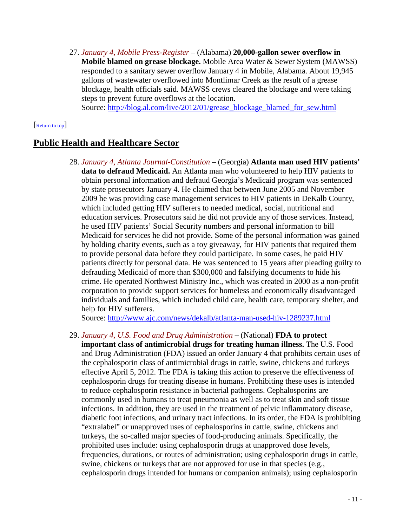27. *January 4, Mobile Press-Register* – (Alabama) **20,000-gallon sewer overflow in Mobile blamed on grease blockage.** Mobile Area Water & Sewer System (MAWSS) responded to a sanitary sewer overflow January 4 in Mobile, Alabama. About 19,945 gallons of wastewater overflowed into Montlimar Creek as the result of a grease blockage, health officials said. MAWSS crews cleared the blockage and were taking steps to prevent future overflows at the location.

<span id="page-10-0"></span>Source: [http://blog.al.com/live/2012/01/grease\\_blockage\\_blamed\\_for\\_sew.html](http://blog.al.com/live/2012/01/grease_blockage_blamed_for_sew.html)

#### [\[Return to top\]](#page-0-1)

## **Public Health and Healthcare Sector**

28. *January 4, Atlanta Journal-Constitution* – (Georgia) **Atlanta man used HIV patients' data to defraud Medicaid.** An Atlanta man who volunteered to help HIV patients to obtain personal information and defraud Georgia's Medicaid program was sentenced by state prosecutors January 4. He claimed that between June 2005 and November 2009 he was providing case management services to HIV patients in DeKalb County, which included getting HIV sufferers to needed medical, social, nutritional and education services. Prosecutors said he did not provide any of those services. Instead, he used HIV patients' Social Security numbers and personal information to bill Medicaid for services he did not provide. Some of the personal information was gained by holding charity events, such as a toy giveaway, for HIV patients that required them to provide personal data before they could participate. In some cases, he paid HIV patients directly for personal data. He was sentenced to 15 years after pleading guilty to defrauding Medicaid of more than \$300,000 and falsifying documents to hide his crime. He operated Northwest Ministry Inc., which was created in 2000 as a non-profit corporation to provide support services for homeless and economically disadvantaged individuals and families, which included child care, health care, temporary shelter, and help for HIV sufferers.

Source:<http://www.ajc.com/news/dekalb/atlanta-man-used-hiv-1289237.html>

<span id="page-10-1"></span>29. *January 4, U.S. Food and Drug Administration* – (National) **FDA to protect important class of antimicrobial drugs for treating human illness.** The U.S. Food and Drug Administration (FDA) issued an order January 4 that prohibits certain uses of the cephalosporin class of antimicrobial drugs in cattle, swine, chickens and turkeys effective April 5, 2012. The FDA is taking this action to preserve the effectiveness of cephalosporin drugs for treating disease in humans. Prohibiting these uses is intended to reduce cephalosporin resistance in bacterial pathogens. Cephalosporins are commonly used in humans to treat pneumonia as well as to treat skin and soft tissue infections. In addition, they are used in the treatment of pelvic inflammatory disease, diabetic foot infections, and urinary tract infections. In its order, the FDA is prohibiting "extralabel" or unapproved uses of cephalosporins in cattle, swine, chickens and turkeys, the so-called major species of food-producing animals. Specifically, the prohibited uses include: using cephalosporin drugs at unapproved dose levels, frequencies, durations, or routes of administration; using cephalosporin drugs in cattle, swine, chickens or turkeys that are not approved for use in that species (e.g., cephalosporin drugs intended for humans or companion animals); using cephalosporin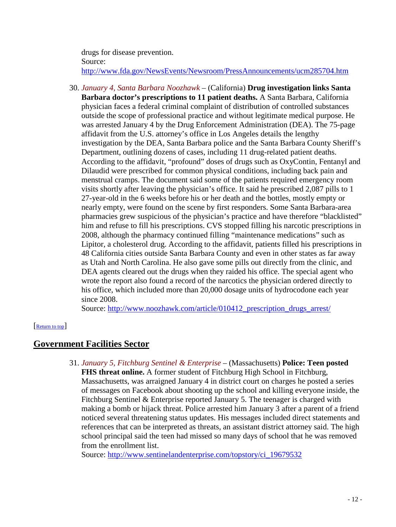drugs for disease prevention. Source: <http://www.fda.gov/NewsEvents/Newsroom/PressAnnouncements/ucm285704.htm>

30. *January 4, Santa Barbara Noozhawk* – (California) **Drug investigation links Santa Barbara doctor's prescriptions to 11 patient deaths.** A Santa Barbara, California physician faces a federal criminal complaint of distribution of controlled substances outside the scope of professional practice and without legitimate medical purpose. He was arrested January 4 by the Drug Enforcement Administration (DEA). The 75-page affidavit from the U.S. attorney's office in Los Angeles details the lengthy investigation by the DEA, Santa Barbara police and the Santa Barbara County Sheriff's Department, outlining dozens of cases, including 11 drug-related patient deaths. According to the affidavit, "profound" doses of drugs such as OxyContin, Fentanyl and Dilaudid were prescribed for common physical conditions, including back pain and menstrual cramps. The document said some of the patients required emergency room visits shortly after leaving the physician's office. It said he prescribed 2,087 pills to 1 27-year-old in the 6 weeks before his or her death and the bottles, mostly empty or nearly empty, were found on the scene by first responders. Some Santa Barbara-area pharmacies grew suspicious of the physician's practice and have therefore "blacklisted" him and refuse to fill his prescriptions. CVS stopped filling his narcotic prescriptions in 2008, although the pharmacy continued filling "maintenance medications" such as Lipitor, a cholesterol drug. According to the affidavit, patients filled his prescriptions in 48 California cities outside Santa Barbara County and even in other states as far away as Utah and North Carolina. He also gave some pills out directly from the clinic, and DEA agents cleared out the drugs when they raided his office. The special agent who wrote the report also found a record of the narcotics the physician ordered directly to his office, which included more than 20,000 dosage units of hydrocodone each year since 2008.

<span id="page-11-0"></span>Source: http://www.noozhawk.com/article/010412 prescription drugs arrest/

#### [\[Return to top\]](#page-0-1)

### **Government Facilities Sector**

31. *January 5, Fitchburg Sentinel & Enterprise* – (Massachusetts) **Police: Teen posted FHS threat online.** A former student of Fitchburg High School in Fitchburg, Massachusetts, was arraigned January 4 in district court on charges he posted a series of messages on Facebook about shooting up the school and killing everyone inside, the Fitchburg Sentinel & Enterprise reported January 5. The teenager is charged with making a bomb or hijack threat. Police arrested him January 3 after a parent of a friend noticed several threatening status updates. His messages included direct statements and references that can be interpreted as threats, an assistant district attorney said. The high school principal said the teen had missed so many days of school that he was removed from the enrollment list.

Source: [http://www.sentinelandenterprise.com/topstory/ci\\_19679532](http://www.sentinelandenterprise.com/topstory/ci_19679532)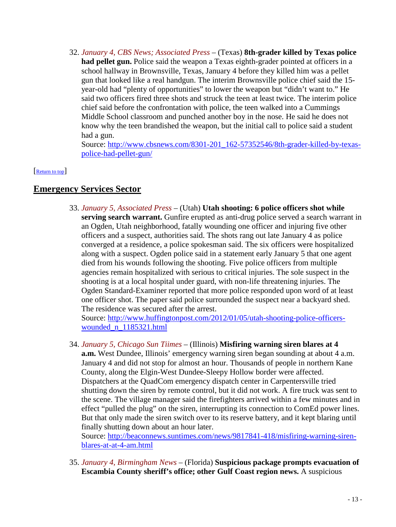32. *January 4, CBS News; Associated Press* – (Texas) **8th-grader killed by Texas police had pellet gun.** Police said the weapon a Texas eighth-grader pointed at officers in a school hallway in Brownsville, Texas, January 4 before they killed him was a pellet gun that looked like a real handgun. The interim Brownsville police chief said the 15 year-old had "plenty of opportunities" to lower the weapon but "didn't want to." He said two officers fired three shots and struck the teen at least twice. The interim police chief said before the confrontation with police, the teen walked into a Cummings Middle School classroom and punched another boy in the nose. He said he does not know why the teen brandished the weapon, but the initial call to police said a student had a gun.

<span id="page-12-0"></span>Source: [http://www.cbsnews.com/8301-201\\_162-57352546/8th-grader-killed-by-texas](http://www.cbsnews.com/8301-201_162-57352546/8th-grader-killed-by-texas-police-had-pellet-gun/)[police-had-pellet-gun/](http://www.cbsnews.com/8301-201_162-57352546/8th-grader-killed-by-texas-police-had-pellet-gun/)

#### [\[Return to top\]](#page-0-1)

## **Emergency Services Sector**

33. *January 5, Associated Press* – (Utah) **Utah shooting: 6 police officers shot while serving search warrant.** Gunfire erupted as anti-drug police served a search warrant in an Ogden, Utah neighborhood, fatally wounding one officer and injuring five other officers and a suspect, authorities said. The shots rang out late January 4 as police converged at a residence, a police spokesman said. The six officers were hospitalized along with a suspect. Ogden police said in a statement early January 5 that one agent died from his wounds following the shooting. Five police officers from multiple agencies remain hospitalized with serious to critical injuries. The sole suspect in the shooting is at a local hospital under guard, with non-life threatening injuries. The Ogden Standard-Examiner reported that more police responded upon word of at least one officer shot. The paper said police surrounded the suspect near a backyard shed. The residence was secured after the arrest.

Source: [http://www.huffingtonpost.com/2012/01/05/utah-shooting-police-officers](http://www.huffingtonpost.com/2012/01/05/utah-shooting-police-officers-wounded_n_1185321.html)[wounded\\_n\\_1185321.html](http://www.huffingtonpost.com/2012/01/05/utah-shooting-police-officers-wounded_n_1185321.html)

34. *January 5, Chicago Sun Tiimes* – (Illinois) **Misfiring warning siren blares at 4 a.m.** West Dundee, Illinois' emergency warning siren began sounding at about 4 a.m. January 4 and did not stop for almost an hour. Thousands of people in northern Kane County, along the Elgin-West Dundee-Sleepy Hollow border were affected. Dispatchers at the QuadCom emergency dispatch center in Carpentersville tried shutting down the siren by remote control, but it did not work. A fire truck was sent to the scene. The village manager said the firefighters arrived within a few minutes and in effect "pulled the plug" on the siren, interrupting its connection to ComEd power lines. But that only made the siren switch over to its reserve battery, and it kept blaring until finally shutting down about an hour later.

Source: [http://beaconnews.suntimes.com/news/9817841-418/misfiring-warning-siren](http://beaconnews.suntimes.com/news/9817841-418/misfiring-warning-siren-blares-at-at-4-am.html)[blares-at-at-4-am.html](http://beaconnews.suntimes.com/news/9817841-418/misfiring-warning-siren-blares-at-at-4-am.html)

35. *January 4, Birmingham News* – (Florida) **Suspicious package prompts evacuation of Escambia County sheriff's office; other Gulf Coast region news.** A suspicious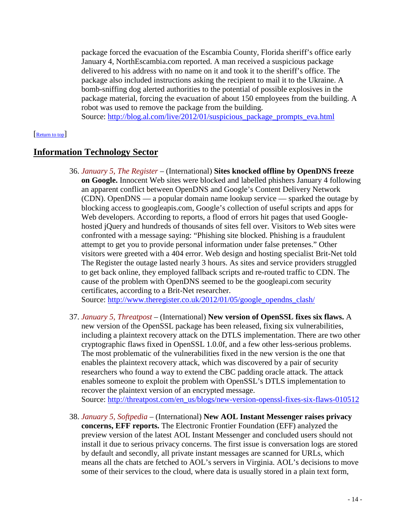package forced the evacuation of the Escambia County, Florida sheriff's office early January 4, NorthEscambia.com reported. A man received a suspicious package delivered to his address with no name on it and took it to the sheriff's office. The package also included instructions asking the recipient to mail it to the Ukraine. A bomb-sniffing dog alerted authorities to the potential of possible explosives in the package material, forcing the evacuation of about 150 employees from the building. A robot was used to remove the package from the building.

<span id="page-13-0"></span>Source: [http://blog.al.com/live/2012/01/suspicious\\_package\\_prompts\\_eva.html](http://blog.al.com/live/2012/01/suspicious_package_prompts_eva.html)

#### [\[Return to top\]](#page-0-1)

## **Information Technology Sector**

36. *January 5, The Register* – (International) **Sites knocked offline by OpenDNS freeze on Google.** Innocent Web sites were blocked and labelled phishers January 4 following an apparent conflict between OpenDNS and Google's Content Delivery Network (CDN). OpenDNS — a popular domain name lookup service — sparked the outage by blocking access to googleapis.com, Google's collection of useful scripts and apps for Web developers. According to reports, a flood of errors hit pages that used Googlehosted jQuery and hundreds of thousands of sites fell over. Visitors to Web sites were confronted with a message saying: "Phishing site blocked. Phishing is a fraudulent attempt to get you to provide personal information under false pretenses." Other visitors were greeted with a 404 error. Web design and hosting specialist Brit-Net told The Register the outage lasted nearly 3 hours. As sites and service providers struggled to get back online, they employed fallback scripts and re-routed traffic to CDN. The cause of the problem with OpenDNS seemed to be the googleapi.com security certificates, according to a Brit-Net researcher.

Source: [http://www.theregister.co.uk/2012/01/05/google\\_opendns\\_clash/](http://www.theregister.co.uk/2012/01/05/google_opendns_clash/)

- 37. *January 5, Threatpost* (International) **New version of OpenSSL fixes six flaws.** A new version of the OpenSSL package has been released, fixing six vulnerabilities, including a plaintext recovery attack on the DTLS implementation. There are two other cryptographic flaws fixed in OpenSSL 1.0.0f, and a few other less-serious problems. The most problematic of the vulnerabilities fixed in the new version is the one that enables the plaintext recovery attack, which was discovered by a pair of security researchers who found a way to extend the CBC padding oracle attack. The attack enables someone to exploit the problem with OpenSSL's DTLS implementation to recover the plaintext version of an encrypted message. Source: [http://threatpost.com/en\\_us/blogs/new-version-openssl-fixes-six-flaws-010512](http://threatpost.com/en_us/blogs/new-version-openssl-fixes-six-flaws-010512)
- <span id="page-13-1"></span>38. *January 5, Softpedia* – (International) **New AOL Instant Messenger raises privacy concerns, EFF reports.** The Electronic Frontier Foundation (EFF) analyzed the preview version of the latest AOL Instant Messenger and concluded users should not install it due to serious privacy concerns. The first issue is conversation logs are stored by default and secondly, all private instant messages are scanned for URLs, which means all the chats are fetched to AOL's servers in Virginia. AOL's decisions to move some of their services to the cloud, where data is usually stored in a plain text form,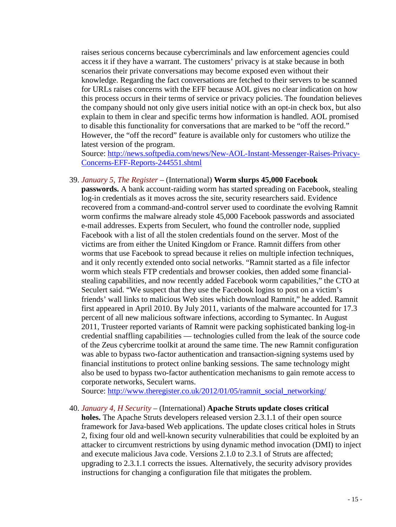raises serious concerns because cybercriminals and law enforcement agencies could access it if they have a warrant. The customers' privacy is at stake because in both scenarios their private conversations may become exposed even without their knowledge. Regarding the fact conversations are fetched to their servers to be scanned for URLs raises concerns with the EFF because AOL gives no clear indication on how this process occurs in their terms of service or privacy policies. The foundation believes the company should not only give users initial notice with an opt-in check box, but also explain to them in clear and specific terms how information is handled. AOL promised to disable this functionality for conversations that are marked to be "off the record." However, the "off the record" feature is available only for customers who utilize the latest version of the program.

Source: [http://news.softpedia.com/news/New-AOL-Instant-Messenger-Raises-Privacy-](http://news.softpedia.com/news/New-AOL-Instant-Messenger-Raises-Privacy-Concerns-EFF-Reports-244551.shtml)[Concerns-EFF-Reports-244551.shtml](http://news.softpedia.com/news/New-AOL-Instant-Messenger-Raises-Privacy-Concerns-EFF-Reports-244551.shtml)

#### <span id="page-14-0"></span>39. *January 5, The Register* – (International) **Worm slurps 45,000 Facebook**

**passwords.** A bank account-raiding worm has started spreading on Facebook, stealing log-in credentials as it moves across the site, security researchers said. Evidence recovered from a command-and-control server used to coordinate the evolving Ramnit worm confirms the malware already stole 45,000 Facebook passwords and associated e-mail addresses. Experts from Seculert, who found the controller node, supplied Facebook with a list of all the stolen credentials found on the server. Most of the victims are from either the United Kingdom or France. Ramnit differs from other worms that use Facebook to spread because it relies on multiple infection techniques, and it only recently extended onto social networks. "Ramnit started as a file infector worm which steals FTP credentials and browser cookies, then added some financialstealing capabilities, and now recently added Facebook worm capabilities," the CTO at Seculert said. "We suspect that they use the Facebook logins to post on a victim's friends' wall links to malicious Web sites which download Ramnit," he added. Ramnit first appeared in April 2010. By July 2011, variants of the malware accounted for 17.3 percent of all new malicious software infections, according to Symantec. In August 2011, Trusteer reported variants of Ramnit were packing sophisticated banking log-in credential snaffling capabilities — technologies culled from the leak of the source code of the Zeus cybercrime toolkit at around the same time. The new Ramnit configuration was able to bypass two-factor authentication and transaction-signing systems used by financial institutions to protect online banking sessions. The same technology might also be used to bypass two-factor authentication mechanisms to gain remote access to corporate networks, Seculert warns.

Source: [http://www.theregister.co.uk/2012/01/05/ramnit\\_social\\_networking/](http://www.theregister.co.uk/2012/01/05/ramnit_social_networking/)

#### 40. *January 4, H Security* – (International) **Apache Struts update closes critical**

**holes.** The Apache Struts developers released version 2.3.1.1 of their open source framework for Java-based Web applications. The update closes critical holes in Struts 2, fixing four old and well-known security vulnerabilities that could be exploited by an attacker to circumvent restrictions by using dynamic method invocation (DMI) to inject and execute malicious Java code. Versions 2.1.0 to 2.3.1 of Struts are affected; upgrading to 2.3.1.1 corrects the issues. Alternatively, the security advisory provides instructions for changing a configuration file that mitigates the problem.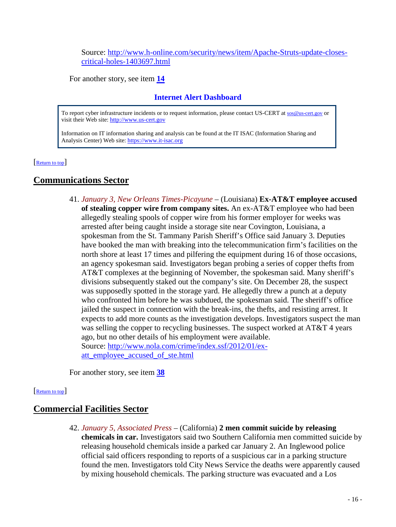Source: [http://www.h-online.com/security/news/item/Apache-Struts-update-closes](http://www.h-online.com/security/news/item/Apache-Struts-update-closes-critical-holes-1403697.html)[critical-holes-1403697.html](http://www.h-online.com/security/news/item/Apache-Struts-update-closes-critical-holes-1403697.html)

For another story, see item **[14](#page-5-0)**

## **Internet Alert Dashboard**

To report cyber infrastructure incidents or to request information, please contact US-CERT at [sos@us-cert.gov](mailto:sos@us-cert.gov) or visit their Web site[: http://www.us-cert.gov](http://www.us-cert.gov/)

<span id="page-15-0"></span>Information on IT information sharing and analysis can be found at the IT ISAC (Information Sharing and Analysis Center) Web site: https://www.it-isac.org

[\[Return to top\]](#page-0-1) 

## **Communications Sector**

41. *January 3, New Orleans Times-Picayune* – (Louisiana) **Ex-AT&T employee accused of stealing copper wire from company sites.** An ex-AT&T employee who had been allegedly stealing spools of copper wire from his former employer for weeks was arrested after being caught inside a storage site near Covington, Louisiana, a spokesman from the St. Tammany Parish Sheriff's Office said January 3. Deputies have booked the man with breaking into the telecommunication firm's facilities on the north shore at least 17 times and pilfering the equipment during 16 of those occasions, an agency spokesman said. Investigators began probing a series of copper thefts from AT&T complexes at the beginning of November, the spokesman said. Many sheriff's divisions subsequently staked out the company's site. On December 28, the suspect was supposedly spotted in the storage yard. He allegedly threw a punch at a deputy who confronted him before he was subdued, the spokesman said. The sheriff's office jailed the suspect in connection with the break-ins, the thefts, and resisting arrest. It expects to add more counts as the investigation develops. Investigators suspect the man was selling the copper to recycling businesses. The suspect worked at AT&T 4 years ago, but no other details of his employment were available. Source: [http://www.nola.com/crime/index.ssf/2012/01/ex](http://www.nola.com/crime/index.ssf/2012/01/ex-att_employee_accused_of_ste.html)[att\\_employee\\_accused\\_of\\_ste.html](http://www.nola.com/crime/index.ssf/2012/01/ex-att_employee_accused_of_ste.html)

<span id="page-15-1"></span>For another story, see item **[38](#page-13-1)**

#### [\[Return to top\]](#page-0-1)

## **Commercial Facilities Sector**

42. *January 5, Associated Press* – (California) **2 men commit suicide by releasing chemicals in car.** Investigators said two Southern California men committed suicide by releasing household chemicals inside a parked car January 2. An Inglewood police official said officers responding to reports of a suspicious car in a parking structure found the men. Investigators told City News Service the deaths were apparently caused by mixing household chemicals. The parking structure was evacuated and a Los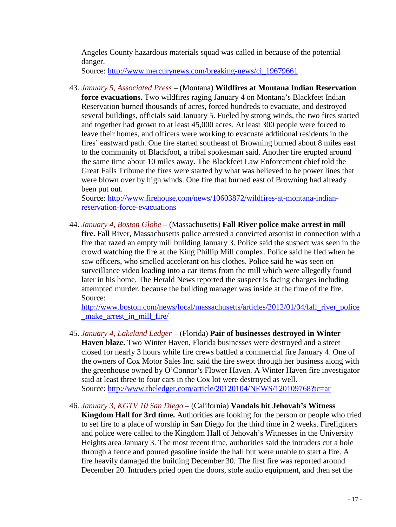Angeles County hazardous materials squad was called in because of the potential danger.

Source: [http://www.mercurynews.com/breaking-news/ci\\_19679661](http://www.mercurynews.com/breaking-news/ci_19679661)

43. *January 5, Associated Press* – (Montana) **Wildfires at Montana Indian Reservation force evacuations.** Two wildfires raging January 4 on Montana's Blackfeet Indian Reservation burned thousands of acres, forced hundreds to evacuate, and destroyed several buildings, officials said January 5. Fueled by strong winds, the two fires started and together had grown to at least 45,000 acres. At least 300 people were forced to leave their homes, and officers were working to evacuate additional residents in the fires' eastward path. One fire started southeast of Browning burned about 8 miles east to the community of Blackfoot, a tribal spokesman said. Another fire erupted around the same time about 10 miles away. The Blackfeet Law Enforcement chief told the Great Falls Tribune the fires were started by what was believed to be power lines that were blown over by high winds. One fire that burned east of Browning had already been put out.

Source: [http://www.firehouse.com/news/10603872/wildfires-at-montana-indian](http://www.firehouse.com/news/10603872/wildfires-at-montana-indian-reservation-force-evacuations)[reservation-force-evacuations](http://www.firehouse.com/news/10603872/wildfires-at-montana-indian-reservation-force-evacuations)

44. *January 4, Boston Globe* – (Massachusetts) **Fall River police make arrest in mill fire.** Fall River, Massachusetts police arrested a convicted arsonist in connection with a fire that razed an empty mill building January 3. Police said the suspect was seen in the crowd watching the fire at the King Phillip Mill complex. Police said he fled when he saw officers, who smelled accelerant on his clothes. Police said he was seen on surveillance video loading into a car items from the mill which were allegedly found later in his home. The Herald News reported the suspect is facing charges including attempted murder, because the building manager was inside at the time of the fire. Source:

[http://www.boston.com/news/local/massachusetts/articles/2012/01/04/fall\\_river\\_police](http://www.boston.com/news/local/massachusetts/articles/2012/01/04/fall_river_police_make_arrest_in_mill_fire/) [\\_make\\_arrest\\_in\\_mill\\_fire/](http://www.boston.com/news/local/massachusetts/articles/2012/01/04/fall_river_police_make_arrest_in_mill_fire/)

- 45. *January 4, Lakeland Ledger* (Florida) **Pair of businesses destroyed in Winter Haven blaze.** Two Winter Haven, Florida businesses were destroyed and a street closed for nearly 3 hours while fire crews battled a commercial fire January 4. One of the owners of Cox Motor Sales Inc. said the fire swept through her business along with the greenhouse owned by O'Connor's Flower Haven. A Winter Haven fire investigator said at least three to four cars in the Cox lot were destroyed as well. Source:<http://www.theledger.com/article/20120104/NEWS/120109768?tc=ar>
- 46. *January 3, KGTV 10 San Diego* (California) **Vandals hit Jehovah's Witness Kingdom Hall for 3rd time.** Authorities are looking for the person or people who tried to set fire to a place of worship in San Diego for the third time in 2 weeks. Firefighters and police were called to the Kingdom Hall of Jehovah's Witnesses in the University Heights area January 3. The most recent time, authorities said the intruders cut a hole through a fence and poured gasoline inside the hall but were unable to start a fire. A fire heavily damaged the building December 30. The first fire was reported around December 20. Intruders pried open the doors, stole audio equipment, and then set the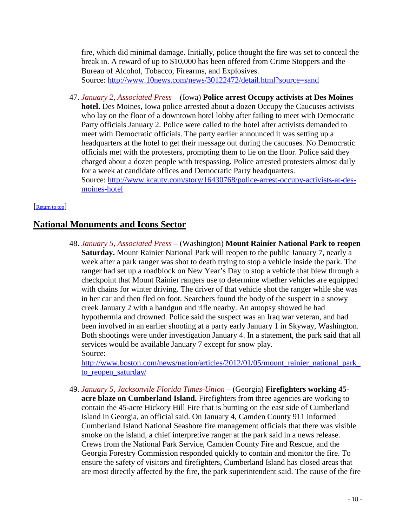fire, which did minimal damage. Initially, police thought the fire was set to conceal the break in. A reward of up to \$10,000 has been offered from Crime Stoppers and the Bureau of Alcohol, Tobacco, Firearms, and Explosives. Source:<http://www.10news.com/news/30122472/detail.html?source=sand>

47. *January 2, Associated Press* – (Iowa) **Police arrest Occupy activists at Des Moines hotel.** Des Moines, Iowa police arrested about a dozen Occupy the Caucuses activists who lay on the floor of a downtown hotel lobby after failing to meet with Democratic Party officials January 2. Police were called to the hotel after activists demanded to meet with Democratic officials. The party earlier announced it was setting up a headquarters at the hotel to get their message out during the caucuses. No Democratic officials met with the protesters, prompting them to lie on the floor. Police said they charged about a dozen people with trespassing. Police arrested protesters almost daily for a week at candidate offices and Democratic Party headquarters. Source: [http://www.kcautv.com/story/16430768/police-arrest-occupy-activists-at-des](http://www.kcautv.com/story/16430768/police-arrest-occupy-activists-at-des-moines-hotel)[moines-hotel](http://www.kcautv.com/story/16430768/police-arrest-occupy-activists-at-des-moines-hotel)

#### <span id="page-17-0"></span>[\[Return to top\]](#page-0-1)

## **National Monuments and Icons Sector**

48. *January 5, Associated Press* – (Washington) **Mount Rainier National Park to reopen Saturday.** Mount Rainier National Park will reopen to the public January 7, nearly a week after a park ranger was shot to death trying to stop a vehicle inside the park. The ranger had set up a roadblock on New Year's Day to stop a vehicle that blew through a checkpoint that Mount Rainier rangers use to determine whether vehicles are equipped with chains for winter driving. The driver of that vehicle shot the ranger while she was in her car and then fled on foot. Searchers found the body of the suspect in a snowy creek January 2 with a handgun and rifle nearby. An autopsy showed he had hypothermia and drowned. Police said the suspect was an Iraq war veteran, and had been involved in an earlier shooting at a party early January 1 in Skyway, Washington. Both shootings were under investigation January 4. In a statement, the park said that all services would be available January 7 except for snow play. Source:

http://www.boston.com/news/nation/articles/2012/01/05/mount\_rainier\_national\_park [to\\_reopen\\_saturday/](http://www.boston.com/news/nation/articles/2012/01/05/mount_rainier_national_park_to_reopen_saturday/)

49. *January 5, Jacksonvile Florida Times-Union* – (Georgia) **Firefighters working 45 acre blaze on Cumberland Island.** Firefighters from three agencies are working to contain the 45-acre Hickory Hill Fire that is burning on the east side of Cumberland Island in Georgia, an official said. On January 4, Camden County 911 informed Cumberland Island National Seashore fire management officials that there was visible smoke on the island, a chief interpretive ranger at the park said in a news release. Crews from the National Park Service, Camden County Fire and Rescue, and the Georgia Forestry Commission responded quickly to contain and monitor the fire. To ensure the safety of visitors and firefighters, Cumberland Island has closed areas that are most directly affected by the fire, the park superintendent said. The cause of the fire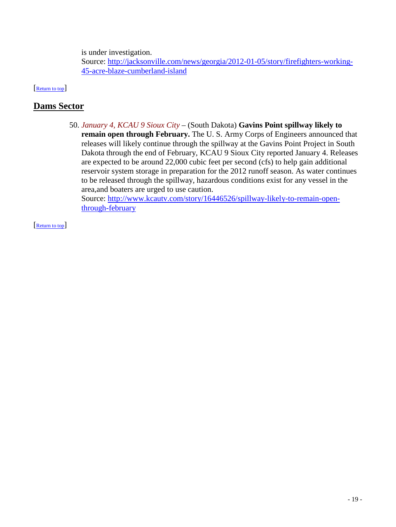is under investigation.

<span id="page-18-0"></span>Source: [http://jacksonville.com/news/georgia/2012-01-05/story/firefighters-working-](http://jacksonville.com/news/georgia/2012-01-05/story/firefighters-working-45-acre-blaze-cumberland-island)[45-acre-blaze-cumberland-island](http://jacksonville.com/news/georgia/2012-01-05/story/firefighters-working-45-acre-blaze-cumberland-island)

[\[Return to top\]](#page-0-1) 

## **Dams Sector**

50. *January 4, KCAU 9 Sioux City* – (South Dakota) **Gavins Point spillway likely to remain open through February.** The U. S. Army Corps of Engineers announced that releases will likely continue through the spillway at the Gavins Point Project in South Dakota through the end of February, KCAU 9 Sioux City reported January 4. Releases are expected to be around 22,000 cubic feet per second (cfs) to help gain additional reservoir system storage in preparation for the 2012 runoff season. As water continues to be released through the spillway, hazardous conditions exist for any vessel in the area,and boaters are urged to use caution. Source: [http://www.kcautv.com/story/16446526/spillway-likely-to-remain-open-](http://www.kcautv.com/story/16446526/spillway-likely-to-remain-open-through-february)

[through-february](http://www.kcautv.com/story/16446526/spillway-likely-to-remain-open-through-february)

[\[Return to top\]](#page-0-1)